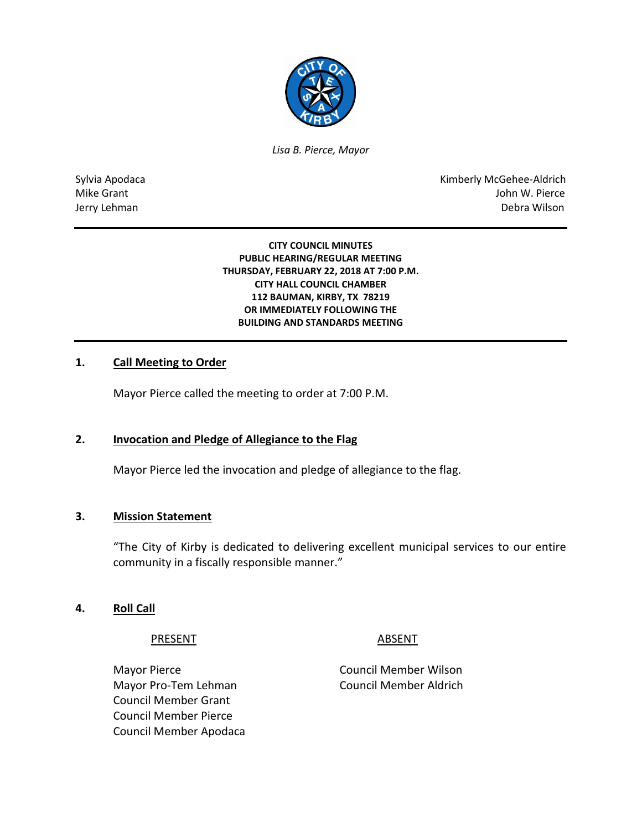

*Lisa B. Pierce, Mayor* 

Sylvia Apodaca National Apodaca Kimberly McGehee-Aldrich Mike Grant John W. Pierce Jerry Lehman Debra Wilson

> **CITY COUNCIL MINUTES PUBLIC HEARING/REGULAR MEETING THURSDAY, FEBRUARY 22, 2018 AT 7:00 P.M. CITY HALL COUNCIL CHAMBER 112 BAUMAN, KIRBY, TX 78219 OR IMMEDIATELY FOLLOWING THE BUILDING AND STANDARDS MEETING**

## **1. Call Meeting to Order**

Mayor Pierce called the meeting to order at 7:00 P.M.

## **2. Invocation and Pledge of Allegiance to the Flag**

Mayor Pierce led the invocation and pledge of allegiance to the flag.

#### **3. Mission Statement**

"The City of Kirby is dedicated to delivering excellent municipal services to our entire community in a fiscally responsible manner."

#### **4. Roll Call**

PRESENT ABSENT

Mayor Pierce **Council Member Wilson** Mayor Pro-Tem Lehman Council Member Aldrich Council Member Grant Council Member Pierce Council Member Apodaca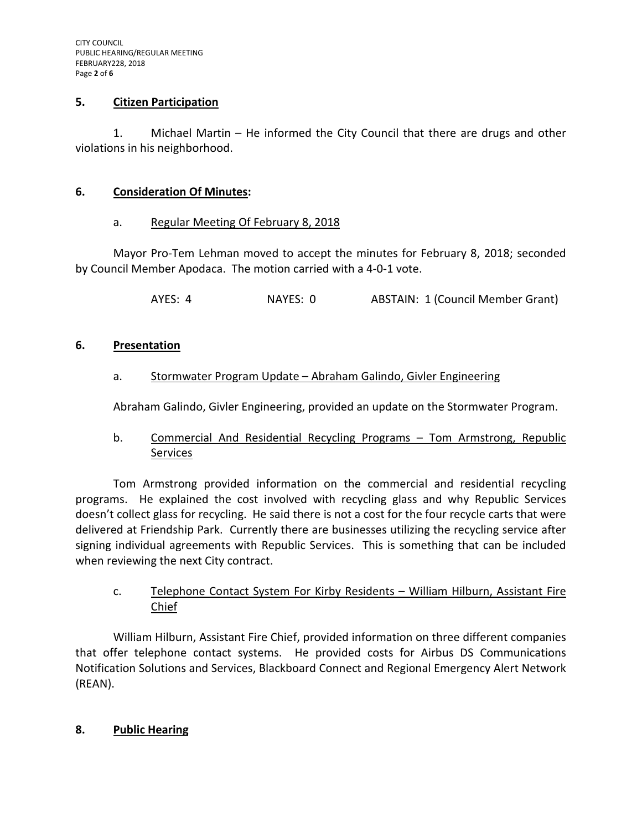## **5. Citizen Participation**

1. Michael Martin – He informed the City Council that there are drugs and other violations in his neighborhood.

# **6. Consideration Of Minutes:**

# a. Regular Meeting Of February 8, 2018

Mayor Pro-Tem Lehman moved to accept the minutes for February 8, 2018; seconded by Council Member Apodaca. The motion carried with a 4-0-1 vote.

AYES: 4 NAYES: 0 ABSTAIN: 1 (Council Member Grant)

# **6. Presentation**

# a. Stormwater Program Update – Abraham Galindo, Givler Engineering

Abraham Galindo, Givler Engineering, provided an update on the Stormwater Program.

# b. Commercial And Residential Recycling Programs – Tom Armstrong, Republic Services

Tom Armstrong provided information on the commercial and residential recycling programs. He explained the cost involved with recycling glass and why Republic Services doesn't collect glass for recycling. He said there is not a cost for the four recycle carts that were delivered at Friendship Park. Currently there are businesses utilizing the recycling service after signing individual agreements with Republic Services. This is something that can be included when reviewing the next City contract.

# c. Telephone Contact System For Kirby Residents – William Hilburn, Assistant Fire Chief

William Hilburn, Assistant Fire Chief, provided information on three different companies that offer telephone contact systems. He provided costs for Airbus DS Communications Notification Solutions and Services, Blackboard Connect and Regional Emergency Alert Network (REAN).

# **8. Public Hearing**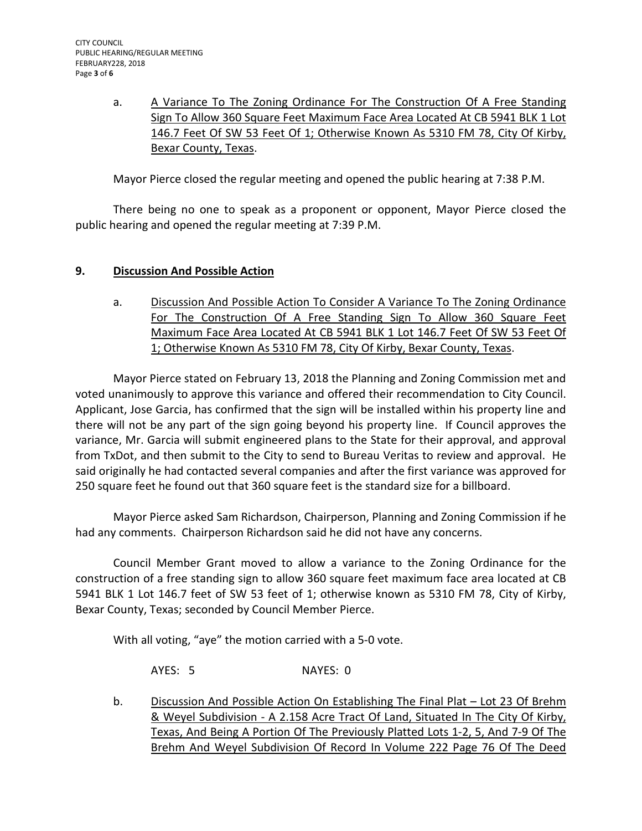a. A Variance To The Zoning Ordinance For The Construction Of A Free Standing Sign To Allow 360 Square Feet Maximum Face Area Located At CB 5941 BLK 1 Lot 146.7 Feet Of SW 53 Feet Of 1; Otherwise Known As 5310 FM 78, City Of Kirby, Bexar County, Texas.

Mayor Pierce closed the regular meeting and opened the public hearing at 7:38 P.M.

There being no one to speak as a proponent or opponent, Mayor Pierce closed the public hearing and opened the regular meeting at 7:39 P.M.

# **9. Discussion And Possible Action**

a. Discussion And Possible Action To Consider A Variance To The Zoning Ordinance For The Construction Of A Free Standing Sign To Allow 360 Square Feet Maximum Face Area Located At CB 5941 BLK 1 Lot 146.7 Feet Of SW 53 Feet Of 1; Otherwise Known As 5310 FM 78, City Of Kirby, Bexar County, Texas.

Mayor Pierce stated on February 13, 2018 the Planning and Zoning Commission met and voted unanimously to approve this variance and offered their recommendation to City Council. Applicant, Jose Garcia, has confirmed that the sign will be installed within his property line and there will not be any part of the sign going beyond his property line. If Council approves the variance, Mr. Garcia will submit engineered plans to the State for their approval, and approval from TxDot, and then submit to the City to send to Bureau Veritas to review and approval. He said originally he had contacted several companies and after the first variance was approved for 250 square feet he found out that 360 square feet is the standard size for a billboard.

Mayor Pierce asked Sam Richardson, Chairperson, Planning and Zoning Commission if he had any comments. Chairperson Richardson said he did not have any concerns.

Council Member Grant moved to allow a variance to the Zoning Ordinance for the construction of a free standing sign to allow 360 square feet maximum face area located at CB 5941 BLK 1 Lot 146.7 feet of SW 53 feet of 1; otherwise known as 5310 FM 78, City of Kirby, Bexar County, Texas; seconded by Council Member Pierce.

With all voting, "aye" the motion carried with a 5-0 vote.

AYES: 5 NAYES: 0

b. Discussion And Possible Action On Establishing The Final Plat – Lot 23 Of Brehm & Weyel Subdivision - A 2.158 Acre Tract Of Land, Situated In The City Of Kirby, Texas, And Being A Portion Of The Previously Platted Lots 1-2, 5, And 7-9 Of The Brehm And Weyel Subdivision Of Record In Volume 222 Page 76 Of The Deed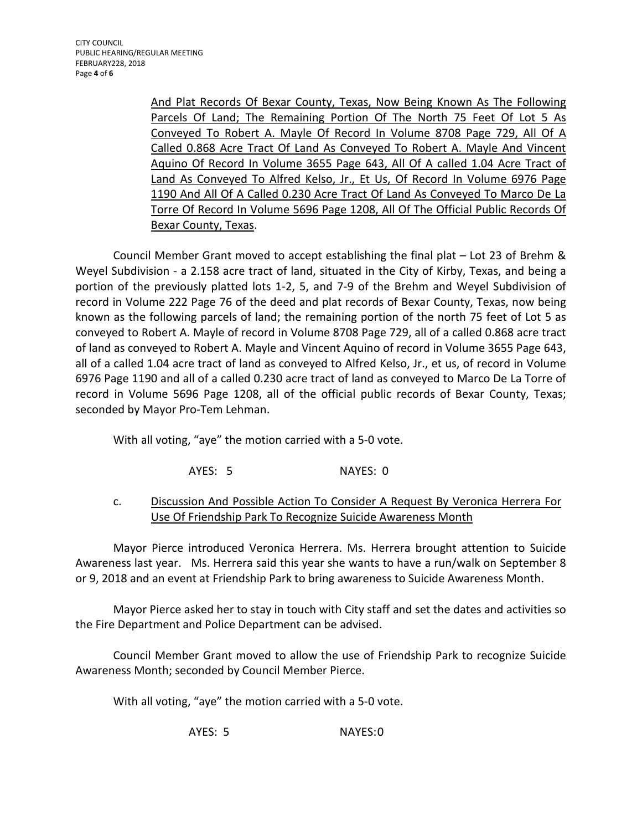And Plat Records Of Bexar County, Texas, Now Being Known As The Following Parcels Of Land; The Remaining Portion Of The North 75 Feet Of Lot 5 As Conveyed To Robert A. Mayle Of Record In Volume 8708 Page 729, All Of A Called 0.868 Acre Tract Of Land As Conveyed To Robert A. Mayle And Vincent Aquino Of Record In Volume 3655 Page 643, All Of A called 1.04 Acre Tract of Land As Conveyed To Alfred Kelso, Jr., Et Us, Of Record In Volume 6976 Page 1190 And All Of A Called 0.230 Acre Tract Of Land As Conveyed To Marco De La Torre Of Record In Volume 5696 Page 1208, All Of The Official Public Records Of Bexar County, Texas.

Council Member Grant moved to accept establishing the final plat – Lot 23 of Brehm & Weyel Subdivision - a 2.158 acre tract of land, situated in the City of Kirby, Texas, and being a portion of the previously platted lots 1-2, 5, and 7-9 of the Brehm and Weyel Subdivision of record in Volume 222 Page 76 of the deed and plat records of Bexar County, Texas, now being known as the following parcels of land; the remaining portion of the north 75 feet of Lot 5 as conveyed to Robert A. Mayle of record in Volume 8708 Page 729, all of a called 0.868 acre tract of land as conveyed to Robert A. Mayle and Vincent Aquino of record in Volume 3655 Page 643, all of a called 1.04 acre tract of land as conveyed to Alfred Kelso, Jr., et us, of record in Volume 6976 Page 1190 and all of a called 0.230 acre tract of land as conveyed to Marco De La Torre of record in Volume 5696 Page 1208, all of the official public records of Bexar County, Texas; seconded by Mayor Pro-Tem Lehman.

With all voting, "aye" the motion carried with a 5-0 vote.

AYES: 5 NAYES: 0

# c. Discussion And Possible Action To Consider A Request By Veronica Herrera For Use Of Friendship Park To Recognize Suicide Awareness Month

Mayor Pierce introduced Veronica Herrera. Ms. Herrera brought attention to Suicide Awareness last year. Ms. Herrera said this year she wants to have a run/walk on September 8 or 9, 2018 and an event at Friendship Park to bring awareness to Suicide Awareness Month.

Mayor Pierce asked her to stay in touch with City staff and set the dates and activities so the Fire Department and Police Department can be advised.

Council Member Grant moved to allow the use of Friendship Park to recognize Suicide Awareness Month; seconded by Council Member Pierce.

With all voting, "aye" the motion carried with a 5-0 vote.

AYES: 5 NAYES:0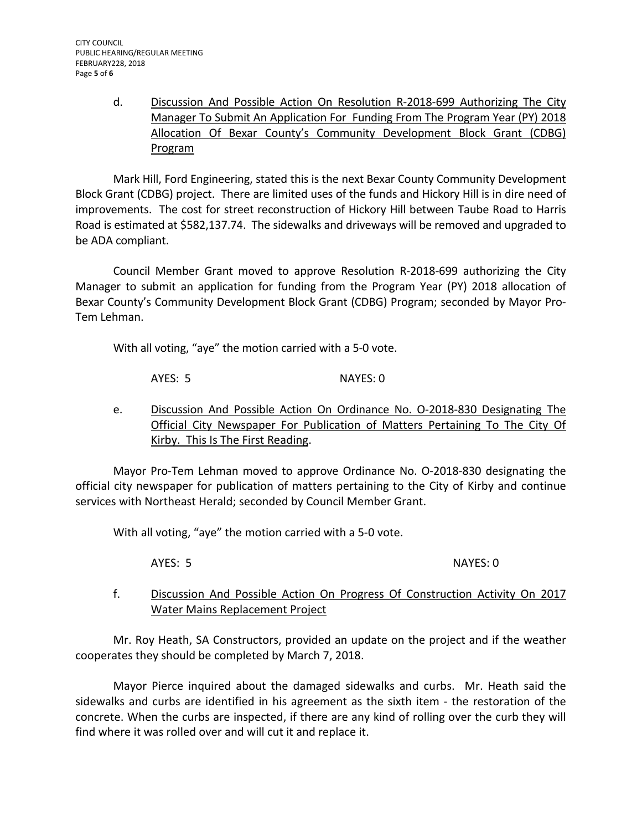d. Discussion And Possible Action On Resolution R-2018-699 Authorizing The City Manager To Submit An Application For Funding From The Program Year (PY) 2018 Allocation Of Bexar County's Community Development Block Grant (CDBG) Program

Mark Hill, Ford Engineering, stated this is the next Bexar County Community Development Block Grant (CDBG) project. There are limited uses of the funds and Hickory Hill is in dire need of improvements. The cost for street reconstruction of Hickory Hill between Taube Road to Harris Road is estimated at \$582,137.74. The sidewalks and driveways will be removed and upgraded to be ADA compliant.

Council Member Grant moved to approve Resolution R-2018-699 authorizing the City Manager to submit an application for funding from the Program Year (PY) 2018 allocation of Bexar County's Community Development Block Grant (CDBG) Program; seconded by Mayor Pro-Tem Lehman.

With all voting, "aye" the motion carried with a 5-0 vote.

AYES: 5 NAYES: 0

e. Discussion And Possible Action On Ordinance No. O-2018-830 Designating The Official City Newspaper For Publication of Matters Pertaining To The City Of Kirby. This Is The First Reading.

Mayor Pro-Tem Lehman moved to approve Ordinance No. O-2018-830 designating the official city newspaper for publication of matters pertaining to the City of Kirby and continue services with Northeast Herald; seconded by Council Member Grant.

With all voting, "aye" the motion carried with a 5-0 vote.

AYES: 5 NAYES: 0

# f. Discussion And Possible Action On Progress Of Construction Activity On 2017 Water Mains Replacement Project

Mr. Roy Heath, SA Constructors, provided an update on the project and if the weather cooperates they should be completed by March 7, 2018.

Mayor Pierce inquired about the damaged sidewalks and curbs. Mr. Heath said the sidewalks and curbs are identified in his agreement as the sixth item - the restoration of the concrete. When the curbs are inspected, if there are any kind of rolling over the curb they will find where it was rolled over and will cut it and replace it.